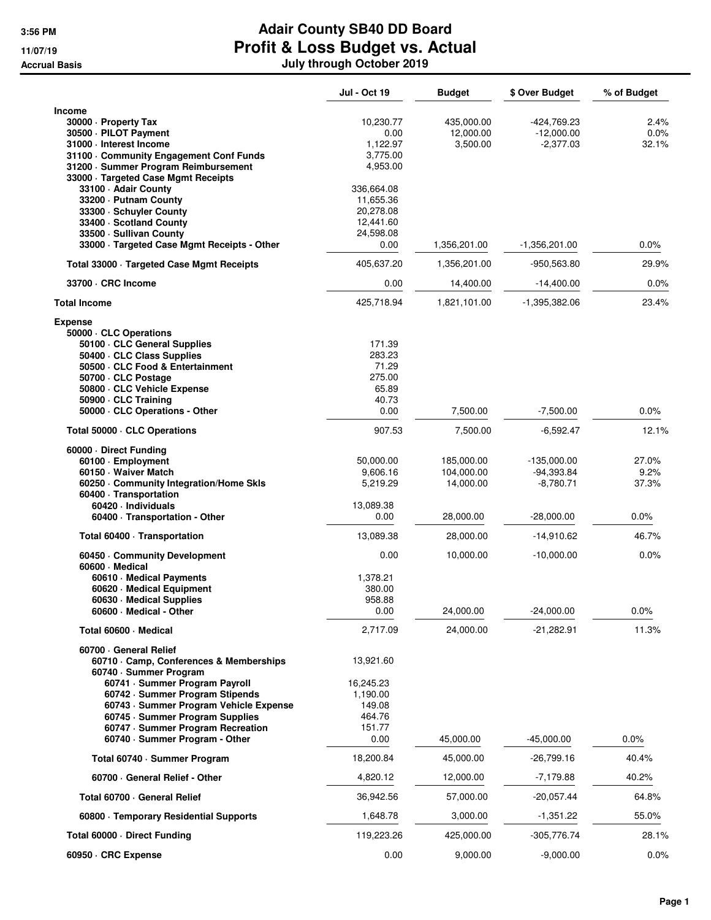|                                                                                                                                                                                                                                                                                | <b>Jul - Oct 19</b>                                                    | <b>Budget</b>                         | \$ Over Budget                               | % of Budget              |
|--------------------------------------------------------------------------------------------------------------------------------------------------------------------------------------------------------------------------------------------------------------------------------|------------------------------------------------------------------------|---------------------------------------|----------------------------------------------|--------------------------|
| <b>Income</b><br>30000 - Property Tax<br>30500 · PILOT Payment<br>31000 - Interest Income                                                                                                                                                                                      | 10,230.77<br>0.00<br>1,122.97                                          | 435,000.00<br>12,000.00<br>3,500.00   | -424,769.23<br>$-12,000.00$<br>$-2,377.03$   | 2.4%<br>$0.0\%$<br>32.1% |
| 31100 Community Engagement Conf Funds<br>31200 · Summer Program Reimbursement<br>33000 · Targeted Case Mgmt Receipts                                                                                                                                                           | 3,775.00<br>4,953.00                                                   |                                       |                                              |                          |
| 33100 - Adair County<br>33200 - Putnam County<br>33300 · Schuyler County<br>33400 · Scotland County<br>33500 · Sullivan County<br>33000 · Targeted Case Mgmt Receipts - Other                                                                                                  | 336,664.08<br>11,655.36<br>20,278.08<br>12,441.60<br>24,598.08<br>0.00 | 1,356,201.00                          | -1,356,201.00                                | 0.0%                     |
| Total 33000 · Targeted Case Mgmt Receipts                                                                                                                                                                                                                                      | 405,637.20                                                             | 1,356,201.00                          | -950,563.80                                  | 29.9%                    |
| 33700 · CRC Income                                                                                                                                                                                                                                                             | 0.00                                                                   | 14,400.00                             | $-14,400.00$                                 | 0.0%                     |
| <b>Total Income</b>                                                                                                                                                                                                                                                            | 425,718.94                                                             | 1,821,101.00                          | $-1,395,382.06$                              | 23.4%                    |
| <b>Expense</b><br>50000 · CLC Operations<br>50100 · CLC General Supplies<br>50400 · CLC Class Supplies<br>50500 · CLC Food & Entertainment<br>50700 · CLC Postage<br>50800 · CLC Vehicle Expense<br>50900 - CLC Training                                                       | 171.39<br>283.23<br>71.29<br>275.00<br>65.89<br>40.73                  |                                       |                                              |                          |
| 50000 · CLC Operations - Other                                                                                                                                                                                                                                                 | 0.00                                                                   | 7,500.00                              | $-7,500.00$                                  | 0.0%                     |
| Total 50000 · CLC Operations                                                                                                                                                                                                                                                   | 907.53                                                                 | 7,500.00                              | -6,592.47                                    | 12.1%                    |
| 60000 Direct Funding<br>60100 · Employment<br>60150 - Waiver Match<br>60250 Community Integration/Home Skls<br>60400 · Transportation<br>60420 · Individuals                                                                                                                   | 50,000.00<br>9,606.16<br>5,219.29<br>13,089.38                         | 185,000.00<br>104,000.00<br>14,000.00 | $-135,000.00$<br>$-94,393.84$<br>$-8,780.71$ | 27.0%<br>9.2%<br>37.3%   |
| 60400 · Transportation - Other                                                                                                                                                                                                                                                 | 0.00                                                                   | 28,000.00                             | $-28,000.00$                                 | 0.0%                     |
| Total 60400 · Transportation                                                                                                                                                                                                                                                   | 13,089.38                                                              | 28,000.00                             | $-14,910.62$                                 | 46.7%                    |
| 60450 Community Development<br>60600 Medical                                                                                                                                                                                                                                   | 0.00                                                                   | 10,000.00                             | $-10,000.00$                                 | 0.0%                     |
| 60610 · Medical Payments<br>60620 · Medical Equipment<br>60630 · Medical Supplies<br>60600 · Medical - Other                                                                                                                                                                   | 1,378.21<br>380.00<br>958.88<br>0.00                                   | 24,000.00                             | $-24,000.00$                                 | 0.0%                     |
| Total 60600 · Medical                                                                                                                                                                                                                                                          | 2,717.09                                                               | 24,000.00                             | -21,282.91                                   | 11.3%                    |
| 60700 General Relief<br>60710 Camp, Conferences & Memberships<br>60740 · Summer Program<br>60741 · Summer Program Payroll<br>60742 · Summer Program Stipends<br>60743 · Summer Program Vehicle Expense<br>60745 · Summer Program Supplies<br>60747 · Summer Program Recreation | 13,921.60<br>16,245.23<br>1,190.00<br>149.08<br>464.76<br>151.77       |                                       |                                              |                          |
| 60740 · Summer Program - Other                                                                                                                                                                                                                                                 | 0.00                                                                   | 45,000.00                             | $-45,000.00$                                 | $0.0\%$                  |
| Total 60740 · Summer Program                                                                                                                                                                                                                                                   | 18,200.84                                                              | 45,000.00                             | -26,799.16                                   | 40.4%                    |
| 60700 General Relief - Other                                                                                                                                                                                                                                                   | 4,820.12                                                               | 12,000.00                             | $-7,179.88$                                  | 40.2%                    |
| Total 60700 General Relief                                                                                                                                                                                                                                                     | 36,942.56                                                              | 57,000.00                             | $-20,057.44$                                 | 64.8%                    |
| 60800 · Temporary Residential Supports                                                                                                                                                                                                                                         | 1,648.78                                                               | 3,000.00                              | -1,351.22                                    | 55.0%                    |
| Total 60000 · Direct Funding                                                                                                                                                                                                                                                   | 119,223.26                                                             | 425,000.00                            | -305,776.74                                  | 28.1%                    |
| 60950 · CRC Expense                                                                                                                                                                                                                                                            | 0.00                                                                   | 9,000.00                              | $-9,000.00$                                  | $0.0\%$                  |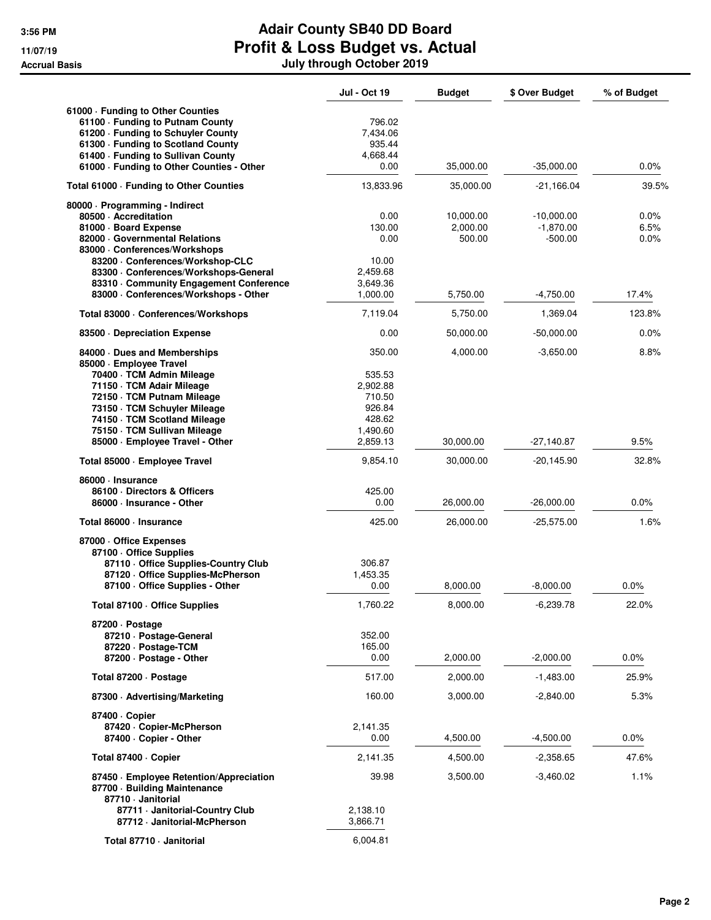|                                                                                                                                                                                                                                                                                  | <b>Jul - Oct 19</b>                                                                | <b>Budget</b>                   | \$ Over Budget                           | % of Budget          |
|----------------------------------------------------------------------------------------------------------------------------------------------------------------------------------------------------------------------------------------------------------------------------------|------------------------------------------------------------------------------------|---------------------------------|------------------------------------------|----------------------|
| 61000 · Funding to Other Counties<br>61100 · Funding to Putnam County<br>61200 · Funding to Schuyler County<br>61300 · Funding to Scotland County<br>61400 - Funding to Sullivan County<br>61000 - Funding to Other Counties - Other                                             | 796.02<br>7,434.06<br>935.44<br>4,668.44<br>0.00                                   | 35,000.00                       | $-35,000.00$                             | 0.0%                 |
| Total 61000 · Funding to Other Counties                                                                                                                                                                                                                                          | 13,833.96                                                                          | 35,000.00                       | $-21,166.04$                             | 39.5%                |
| 80000 · Programming - Indirect<br>80500 - Accreditation<br>81000 Board Expense<br>82000 Governmental Relations<br>83000 - Conferences/Workshops<br>83200 - Conferences/Workshop-CLC<br>83300 · Conferences/Workshops-General<br>83310 Community Engagement Conference            | 0.00<br>130.00<br>0.00<br>10.00<br>2,459.68<br>3,649.36                            | 10,000.00<br>2,000.00<br>500.00 | $-10,000.00$<br>$-1,870.00$<br>$-500.00$ | 0.0%<br>6.5%<br>0.0% |
| 83000 · Conferences/Workshops - Other                                                                                                                                                                                                                                            | 1,000.00                                                                           | 5,750.00                        | $-4,750.00$                              | 17.4%                |
| Total 83000 · Conferences/Workshops                                                                                                                                                                                                                                              | 7,119.04                                                                           | 5,750.00                        | 1,369.04                                 | 123.8%               |
| 83500 Depreciation Expense                                                                                                                                                                                                                                                       | 0.00                                                                               | 50,000.00                       | $-50,000.00$                             | 0.0%                 |
| 84000 Dues and Memberships<br>85000 · Employee Travel<br>70400 · TCM Admin Mileage<br>71150 · TCM Adair Mileage<br>72150 · TCM Putnam Mileage<br>73150 · TCM Schuyler Mileage<br>74150 · TCM Scotland Mileage<br>75150 · TCM Sullivan Mileage<br>85000 · Employee Travel - Other | 350.00<br>535.53<br>2,902.88<br>710.50<br>926.84<br>428.62<br>1,490.60<br>2,859.13 | 4,000.00<br>30,000.00           | $-3,650.00$<br>-27,140.87                | 8.8%<br>9.5%         |
| Total 85000 · Employee Travel                                                                                                                                                                                                                                                    | 9,854.10                                                                           | 30,000.00                       | $-20,145.90$                             | 32.8%                |
| 86000 · Insurance<br>86100 Directors & Officers<br>86000 · Insurance - Other<br>Total 86000 · Insurance                                                                                                                                                                          | 425.00<br>0.00<br>425.00                                                           | 26,000.00<br>26,000.00          | $-26,000.00$<br>$-25,575.00$             | 0.0%<br>1.6%         |
| 87000 Office Expenses<br>87100 Office Supplies<br>87110 - Office Supplies-Country Club<br>87120 Office Supplies-McPherson<br>87100 - Office Supplies - Other                                                                                                                     | 306.87<br>1,453.35<br>0.00                                                         | 8,000.00                        | $-8,000.00$                              | 0.0%                 |
| Total 87100 · Office Supplies                                                                                                                                                                                                                                                    | 1,760.22                                                                           | 8,000.00                        | $-6,239.78$                              | 22.0%                |
| 87200 · Postage<br>87210 · Postage-General<br>87220 · Postage-TCM<br>87200 · Postage - Other                                                                                                                                                                                     | 352.00<br>165.00<br>0.00                                                           | 2,000.00                        | $-2,000.00$                              | $0.0\%$              |
| Total 87200 · Postage                                                                                                                                                                                                                                                            | 517.00                                                                             | 2,000.00                        | $-1,483.00$                              | 25.9%                |
| 87300 Advertising/Marketing                                                                                                                                                                                                                                                      | 160.00                                                                             | 3,000.00                        | $-2,840.00$                              | 5.3%                 |
| 87400 · Copier<br>87420 · Copier-McPherson<br>87400 · Copier - Other                                                                                                                                                                                                             | 2,141.35<br>0.00                                                                   | 4,500.00                        | $-4,500.00$                              | $0.0\%$              |
| Total 87400 · Copier                                                                                                                                                                                                                                                             | 2,141.35                                                                           | 4,500.00                        | $-2,358.65$                              | 47.6%                |
| 87450 · Employee Retention/Appreciation<br>87700 · Building Maintenance<br>87710 - Janitorial<br>87711 · Janitorial-Country Club                                                                                                                                                 | 39.98<br>2,138.10                                                                  | 3,500.00                        | $-3,460.02$                              | 1.1%                 |
| 87712 - Janitorial-McPherson                                                                                                                                                                                                                                                     | 3,866.71                                                                           |                                 |                                          |                      |
| Total 87710 - Janitorial                                                                                                                                                                                                                                                         | 6,004.81                                                                           |                                 |                                          |                      |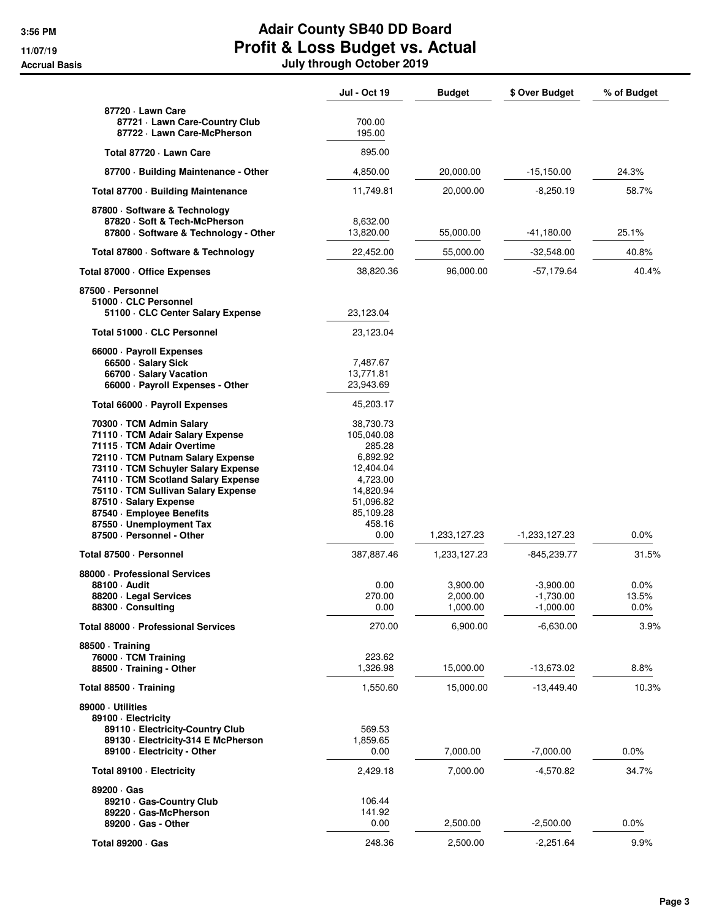|                                                                                                                                                                                                                                                                                                                                                                      | <b>Jul - Oct 19</b>                                                                                                             | Budget                           | \$ Over Budget                            | % of Budget           |
|----------------------------------------------------------------------------------------------------------------------------------------------------------------------------------------------------------------------------------------------------------------------------------------------------------------------------------------------------------------------|---------------------------------------------------------------------------------------------------------------------------------|----------------------------------|-------------------------------------------|-----------------------|
| 87720 - Lawn Care<br>87721 · Lawn Care-Country Club<br>87722 · Lawn Care-McPherson                                                                                                                                                                                                                                                                                   | 700.00<br>195.00                                                                                                                |                                  |                                           |                       |
| Total 87720 - Lawn Care                                                                                                                                                                                                                                                                                                                                              | 895.00                                                                                                                          |                                  |                                           |                       |
| 87700 · Building Maintenance - Other                                                                                                                                                                                                                                                                                                                                 | 4,850.00                                                                                                                        | 20,000.00                        | $-15,150.00$                              | 24.3%                 |
| Total 87700 · Building Maintenance                                                                                                                                                                                                                                                                                                                                   | 11,749.81                                                                                                                       | 20,000.00                        | $-8,250.19$                               | 58.7%                 |
| 87800 · Software & Technology<br>87820 · Soft & Tech-McPherson<br>87800 · Software & Technology - Other                                                                                                                                                                                                                                                              | 8,632.00<br>13,820.00                                                                                                           | 55,000.00                        | -41,180.00                                | 25.1%                 |
| Total 87800 · Software & Technology                                                                                                                                                                                                                                                                                                                                  | 22,452.00                                                                                                                       | 55,000.00                        | $-32,548.00$                              | 40.8%                 |
| Total 87000 · Office Expenses                                                                                                                                                                                                                                                                                                                                        | 38,820.36                                                                                                                       | 96,000.00                        | $-57,179.64$                              | 40.4%                 |
| 87500 · Personnel<br>51000 · CLC Personnel<br>51100 · CLC Center Salary Expense                                                                                                                                                                                                                                                                                      | 23,123.04                                                                                                                       |                                  |                                           |                       |
| Total 51000 · CLC Personnel                                                                                                                                                                                                                                                                                                                                          | 23,123.04                                                                                                                       |                                  |                                           |                       |
| 66000 · Payroll Expenses<br>66500 · Salary Sick<br>66700 · Salary Vacation<br>66000 · Payroll Expenses - Other                                                                                                                                                                                                                                                       | 7,487.67<br>13,771.81<br>23,943.69                                                                                              |                                  |                                           |                       |
| Total 66000 · Payroll Expenses                                                                                                                                                                                                                                                                                                                                       | 45,203.17                                                                                                                       |                                  |                                           |                       |
| 70300 · TCM Admin Salary<br>71110 · TCM Adair Salary Expense<br>71115 · TCM Adair Overtime<br>72110 · TCM Putnam Salary Expense<br>73110 · TCM Schuyler Salary Expense<br>74110 · TCM Scotland Salary Expense<br>75110 · TCM Sullivan Salary Expense<br>87510 · Salary Expense<br>87540 - Employee Benefits<br>87550 · Unemployment Tax<br>87500 · Personnel - Other | 38,730.73<br>105,040.08<br>285.28<br>6,892.92<br>12,404.04<br>4,723.00<br>14,820.94<br>51,096.82<br>85,109.28<br>458.16<br>0.00 |                                  | $-1,233,127.23$                           | 0.0%                  |
| Total 87500 · Personnel                                                                                                                                                                                                                                                                                                                                              | 387,887.46                                                                                                                      | 1,233,127.23<br>1,233,127.23     | -845,239.77                               | 31.5%                 |
| 88000 · Professional Services<br>88100 · Audit<br>88200 · Legal Services<br>88300 · Consulting                                                                                                                                                                                                                                                                       | 0.00<br>270.00<br>0.00                                                                                                          | 3,900.00<br>2,000.00<br>1,000.00 | $-3,900.00$<br>$-1,730.00$<br>$-1,000.00$ | 0.0%<br>13.5%<br>0.0% |
| Total 88000 · Professional Services                                                                                                                                                                                                                                                                                                                                  | 270.00                                                                                                                          | 6,900.00                         | $-6,630.00$                               | 3.9%                  |
| 88500 Training<br>76000 · TCM Training<br>88500 · Training - Other                                                                                                                                                                                                                                                                                                   | 223.62<br>1,326.98                                                                                                              | 15,000.00                        | -13,673.02                                | 8.8%                  |
| Total 88500 Training                                                                                                                                                                                                                                                                                                                                                 | 1,550.60                                                                                                                        | 15,000.00                        | $-13,449.40$                              | 10.3%                 |
| 89000 Utilities<br>89100 · Electricity<br>89110 - Electricity-Country Club<br>89130 - Electricity-314 E McPherson<br>89100 - Electricity - Other                                                                                                                                                                                                                     | 569.53<br>1,859.65<br>0.00                                                                                                      | 7,000.00                         | $-7,000.00$                               | $0.0\%$               |
| Total 89100 · Electricity                                                                                                                                                                                                                                                                                                                                            | 2,429.18                                                                                                                        | 7,000.00                         | -4,570.82                                 | 34.7%                 |
| $89200 \cdot Gas$<br>89210 Gas-Country Club<br>89220 Gas-McPherson<br>89200 · Gas - Other                                                                                                                                                                                                                                                                            | 106.44<br>141.92<br>0.00                                                                                                        | 2,500.00                         | $-2,500.00$                               | $0.0\%$               |
| Total 89200 · Gas                                                                                                                                                                                                                                                                                                                                                    | 248.36                                                                                                                          | 2,500.00                         | $-2,251.64$                               | 9.9%                  |